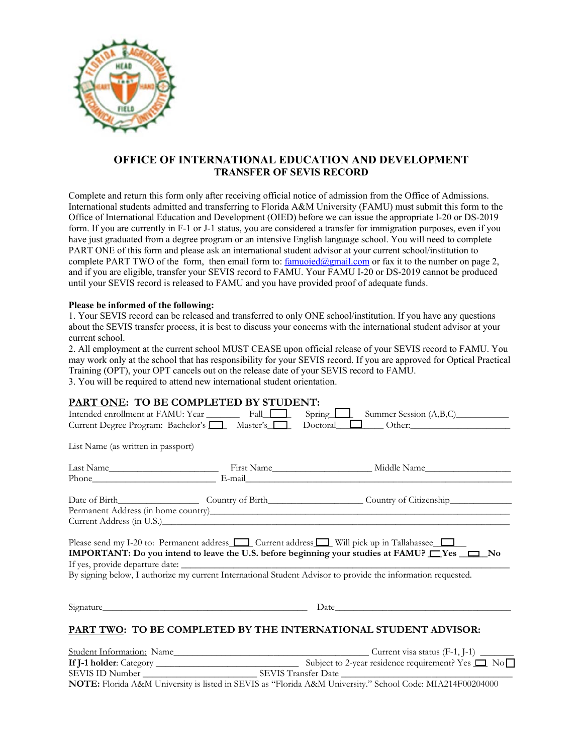

## **OFFICE OF INTERNATIONAL EDUCATION AND DEVELOPMENT TRANSFER OF SEVIS RECORD**

Complete and return this form only after receiving official notice of admission from the Office of Admissions. International students admitted and transferring to Florida A&M University (FAMU) must submit this form to the Office of International Education and Development (OIED) before we can issue the appropriate I-20 or DS-2019 form. If you are currently in F-1 or J-1 status, you are considered a transfer for immigration purposes, even if you have just graduated from a degree program or an intensive English language school. You will need to complete PART ONE of this form and please ask an international student advisor at your current school/institution to complete PART TWO of the form, then email form to:  $f{amuoid@gmail.com}$  or fax it to the number on page 2, and if you are eligible, transfer your SEVIS record to FAMU. Your FAMU I-20 or DS-2019 cannot be produced until your SEVIS record is released to FAMU and you have provided proof of adequate funds.

## **Please be informed of the following:**

1. Your SEVIS record can be released and transferred to only ONE school/institution. If you have any questions about the SEVIS transfer process, it is best to discuss your concerns with the international student advisor at your current school.

2. All employment at the current school MUST CEASE upon official release of your SEVIS record to FAMU. You may work only at the school that has responsibility for your SEVIS record. If you are approved for Optical Practical Training (OPT), your OPT cancels out on the release date of your SEVIS record to FAMU.

3. You will be required to attend new international student orientation.

|                                    | PART ONE: TO BE COMPLETED BY STUDENT: |                                                                                                                                                                                                                                                                                                                                             |  |  |
|------------------------------------|---------------------------------------|---------------------------------------------------------------------------------------------------------------------------------------------------------------------------------------------------------------------------------------------------------------------------------------------------------------------------------------------|--|--|
|                                    |                                       | Intended enrollment at FAMU: Year Fall Fall Spring Spring Summer Session (A,B,C)                                                                                                                                                                                                                                                            |  |  |
|                                    |                                       | Current Degree Program: Bachelor's <b>1. Master's Department Degree Program: Bachelor's 1. Master's Department Degree Program: Bachelor's 1. Master's Department Degree Program: Bachelor's 1. Master's 1. Doctoral 1. Master's </b>                                                                                                        |  |  |
| List Name (as written in passport) |                                       |                                                                                                                                                                                                                                                                                                                                             |  |  |
|                                    |                                       |                                                                                                                                                                                                                                                                                                                                             |  |  |
|                                    |                                       |                                                                                                                                                                                                                                                                                                                                             |  |  |
|                                    |                                       |                                                                                                                                                                                                                                                                                                                                             |  |  |
|                                    |                                       |                                                                                                                                                                                                                                                                                                                                             |  |  |
|                                    |                                       |                                                                                                                                                                                                                                                                                                                                             |  |  |
|                                    |                                       | Please send my I-20 to: Permanent address $\Box$ Current address $\Box$ Will pick up in Tallahassee $\Box$<br><b>IMPORTANT:</b> Do you intend to leave the U.S. before beginning your studies at FAMU? $\Box$ Yes $\Box$ No<br>By signing below, I authorize my current International Student Advisor to provide the information requested. |  |  |
|                                    |                                       | Date and the set of the set of the set of the set of the set of the set of the set of the set of the set of the set of the set of the set of the set of the set of the set of the set of the set of the set of the set of the                                                                                                               |  |  |
|                                    |                                       | PART TWO: TO BE COMPLETED BY THE INTERNATIONAL STUDENT ADVISOR:                                                                                                                                                                                                                                                                             |  |  |
|                                    |                                       |                                                                                                                                                                                                                                                                                                                                             |  |  |
|                                    |                                       |                                                                                                                                                                                                                                                                                                                                             |  |  |
|                                    |                                       |                                                                                                                                                                                                                                                                                                                                             |  |  |

**NOTE:** Florida A&M University is listed in SEVIS as "Florida A&M University." School Code: MIA214F00204000